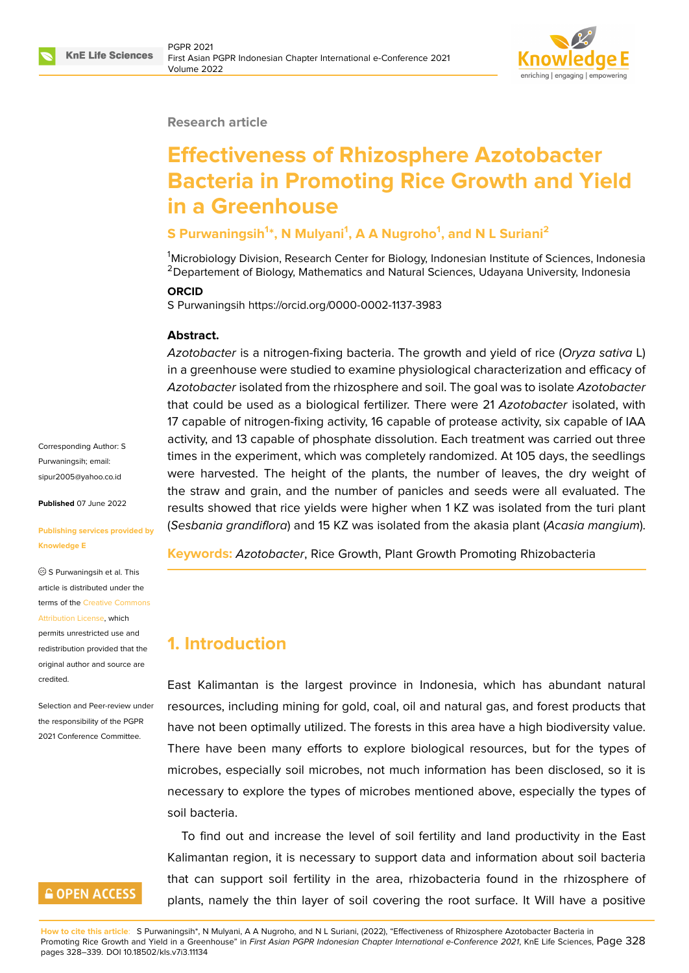

#### **Research article**

# **Effectiveness of Rhizosphere Azotobacter Bacteria in Promoting Rice Growth and Yield in a Greenhouse**

#### **S Purwaningsih<sup>1</sup> \*, N Mulyani<sup>1</sup> , A A Nugroho<sup>1</sup> , and N L Suriani<sup>2</sup>**

<sup>1</sup>Microbiology Division, Research Center for Biology, Indonesian Institute of Sciences, Indonesia <sup>2</sup> Departement of Biology, Mathematics and Natural Sciences, Udayana University, Indonesia

#### **ORCID**

S Purwaningsih https://orcid.org/0000-0002-1137-3983

#### **Abstract.**

*Azotobacter* is a nitrogen-fixing bacteria. The growth and yield of rice (*Oryza sativa* L) in a greenhouse were studied to examine physiological characterization and efficacy of *Azotobacter* isolated from the rhizosphere and soil. The goal was to isolate *Azotobacter* that could be used as a biological fertilizer. There were 21 *Azotobacter* isolated, with 17 capable of nitrogen-fixing activity, 16 capable of protease activity, six capable of IAA activity, and 13 capable of phosphate dissolution. Each treatment was carried out three times in the experiment, which was completely randomized. At 105 days, the seedlings were harvested. The height of the plants, the number of leaves, the dry weight of the straw and grain, and the number of panicles and seeds were all evaluated. The results showed that rice yields were higher when 1 KZ was isolated from the turi plant (*Sesbania grandiflora*) and 15 KZ was isolated from the akasia plant (*Acasia mangium*).

**Keywords:** *Azotobacter*, Rice Growth, Plant Growth Promoting Rhizobacteria

## **1. Introduction**

East Kalimantan is the largest province in Indonesia, which has abundant natural resources, including mining for gold, coal, oil and natural gas, and forest products that have not been optimally utilized. The forests in this area have a high biodiversity value. There have been many efforts to explore biological resources, but for the types of microbes, especially soil microbes, not much information has been disclosed, so it is necessary to explore the types of microbes mentioned above, especially the types of soil bacteria.

To find out and increase the level of soil fertility and land productivity in the East Kalimantan region, it is necessary to support data and information about soil bacteria that can support soil fertility in the area, rhizobacteria found in the rhizosphere of plants, namely the thin layer of soil covering the root surface. It Will have a positive

Corresponding Author: S Purwaningsih; email: sipur2005@yahoo.co.id

**Published** 07 June 2022

#### **[Publishing services pro](mailto:sipur2005@yahoo.co.id)vided by Knowledge E**

S Purwaningsih et al. This article is distributed under the terms of the Creative Commons Attribution License, which

permits unrestricted use and redistribution provided that the original auth[or and source are](https://creativecommons.org/licenses/by/4.0/) [credited.](https://creativecommons.org/licenses/by/4.0/)

Selection and Peer-review under the responsibility of the PGPR 2021 Conference Committee.

# **GOPEN ACCESS**

**How to cite this article**: S Purwaningsih\*, N Mulyani, A A Nugroho, and N L Suriani, (2022), "Effectiveness of Rhizosphere Azotobacter Bacteria in Promoting Rice Growth and Yield in a Greenhouse" in *First Asian PGPR Indonesian Chapter International e-Conference 2021*, KnE Life Sciences, Page 328 pages 328–339. DOI 10.18502/kls.v7i3.11134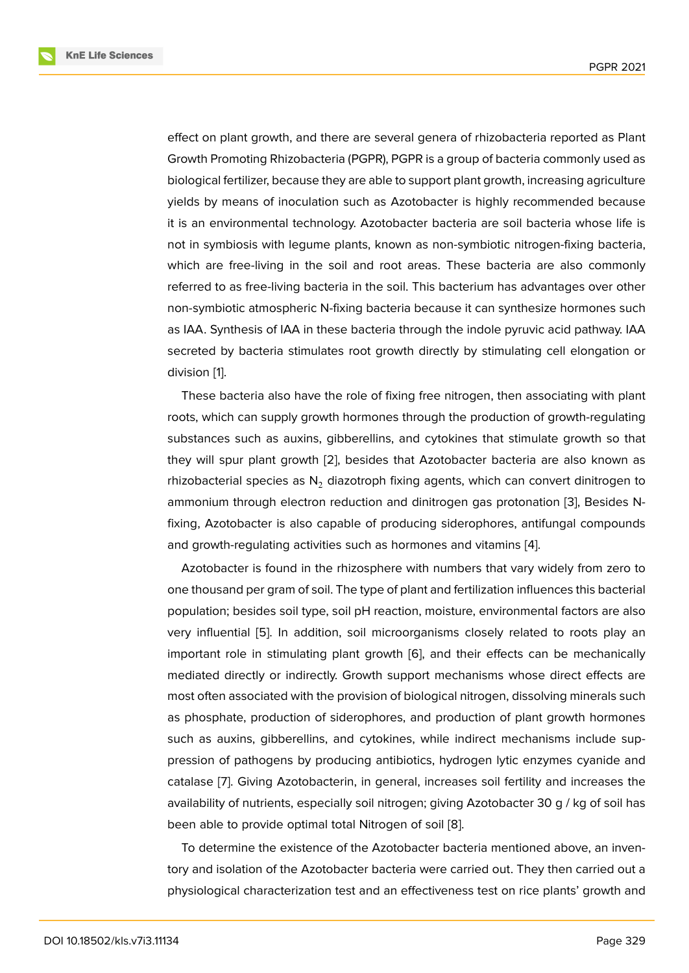effect on plant growth, and there are several genera of rhizobacteria reported as Plant Growth Promoting Rhizobacteria (PGPR), PGPR is a group of bacteria commonly used as biological fertilizer, because they are able to support plant growth, increasing agriculture yields by means of inoculation such as Azotobacter is highly recommended because it is an environmental technology. Azotobacter bacteria are soil bacteria whose life is not in symbiosis with legume plants, known as non-symbiotic nitrogen-fixing bacteria, which are free-living in the soil and root areas. These bacteria are also commonly referred to as free-living bacteria in the soil. This bacterium has advantages over other non-symbiotic atmospheric N-fixing bacteria because it can synthesize hormones such as IAA. Synthesis of IAA in these bacteria through the indole pyruvic acid pathway. IAA secreted by bacteria stimulates root growth directly by stimulating cell elongation or division [1].

These bacteria also have the role of fixing free nitrogen, then associating with plant roots, which can supply growth hormones through the production of growth-regulating substan[ce](#page-9-0)s such as auxins, gibberellins, and cytokines that stimulate growth so that they will spur plant growth [2], besides that Azotobacter bacteria are also known as rhizobacterial species as  $N_2$  diazotroph fixing agents, which can convert dinitrogen to ammonium through electron reduction and dinitrogen gas protonation [3], Besides Nfixing, Azotobacter is also c[ap](#page-9-1)able of producing siderophores, antifungal compounds and growth-regulating activities such as hormones and vitamins [4].

Azotobacter is found in the rhizosphere with numbers that vary widel[y](#page-9-2) from zero to one thousand per gram of soil. The type of plant and fertilization influences this bacterial population; besides soil type, soil pH reaction, moisture, environ[me](#page-9-3)ntal factors are also very influential [5]. In addition, soil microorganisms closely related to roots play an important role in stimulating plant growth [6], and their effects can be mechanically mediated directly or indirectly. Growth support mechanisms whose direct effects are most often asso[cia](#page-9-4)ted with the provision of biological nitrogen, dissolving minerals such as phosphate, production of siderophores, [an](#page-9-5)d production of plant growth hormones such as auxins, gibberellins, and cytokines, while indirect mechanisms include suppression of pathogens by producing antibiotics, hydrogen lytic enzymes cyanide and catalase [7]. Giving Azotobacterin, in general, increases soil fertility and increases the availability of nutrients, especially soil nitrogen; giving Azotobacter 30 g / kg of soil has been able to provide optimal total Nitrogen of soil [8].

To det[er](#page-9-6)mine the existence of the Azotobacter bacteria mentioned above, an inventory and isolation of the Azotobacter bacteria were carried out. They then carried out a physiological characterization test and an effective[ne](#page-9-7)ss test on rice plants' growth and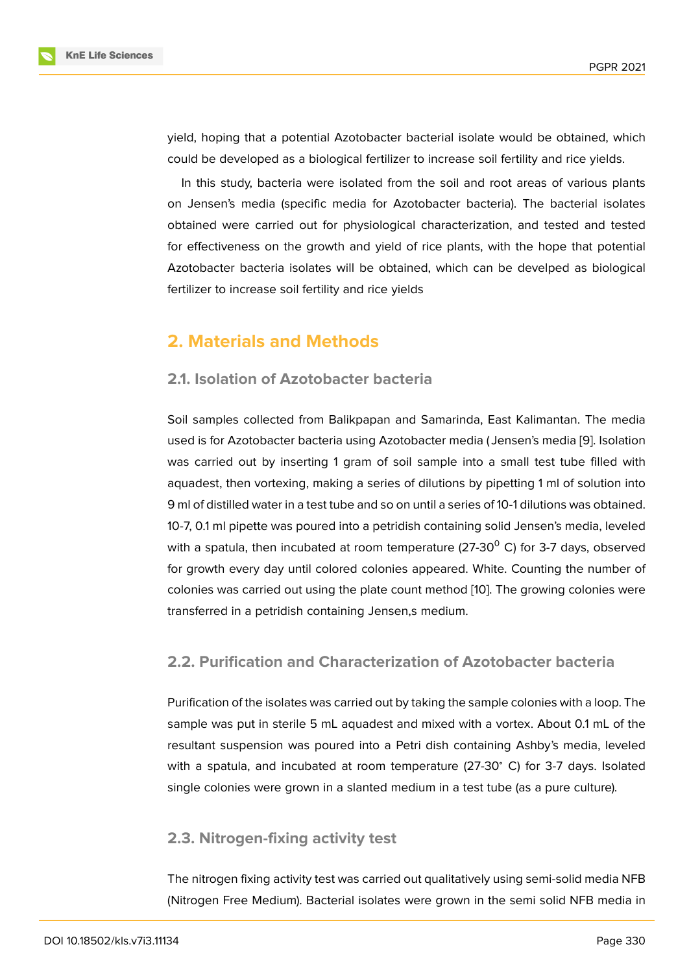yield, hoping that a potential Azotobacter bacterial isolate would be obtained, which could be developed as a biological fertilizer to increase soil fertility and rice yields.

In this study, bacteria were isolated from the soil and root areas of various plants on Jensen's media (specific media for Azotobacter bacteria). The bacterial isolates obtained were carried out for physiological characterization, and tested and tested for effectiveness on the growth and yield of rice plants, with the hope that potential Azotobacter bacteria isolates will be obtained, which can be develped as biological fertilizer to increase soil fertility and rice yields

# **2. Materials and Methods**

#### **2.1. Isolation of Azotobacter bacteria**

Soil samples collected from Balikpapan and Samarinda, East Kalimantan. The media used is for Azotobacter bacteria using Azotobacter media ( Jensen's media [9]. Isolation was carried out by inserting 1 gram of soil sample into a small test tube filled with aquadest, then vortexing, making a series of dilutions by pipetting 1 ml of solution into 9 ml of distilled water in a test tube and so on until a series of 10-1 dilutions w[as](#page-9-8) obtained. 10-7, 0.1 ml pipette was poured into a petridish containing solid Jensen's media, leveled with a spatula, then incubated at room temperature (27-30 $^{\circ}$  C) for 3-7 days, observed for growth every day until colored colonies appeared. White. Counting the number of colonies was carried out using the plate count method [10]. The growing colonies were transferred in a petridish containing Jensen,s medium.

#### **2.2. Purification and Characterization of A[zo](#page-10-0)tobacter bacteria**

Purification of the isolates was carried out by taking the sample colonies with a loop. The sample was put in sterile 5 mL aquadest and mixed with a vortex. About 0.1 mL of the resultant suspension was poured into a Petri dish containing Ashby's media, leveled with a spatula, and incubated at room temperature (27-30<sup>∘</sup> C) for 3-7 days. Isolated single colonies were grown in a slanted medium in a test tube (as a pure culture).

#### **2.3. Nitrogen-fixing activity test**

The nitrogen fixing activity test was carried out qualitatively using semi-solid media NFB (Nitrogen Free Medium). Bacterial isolates were grown in the semi solid NFB media in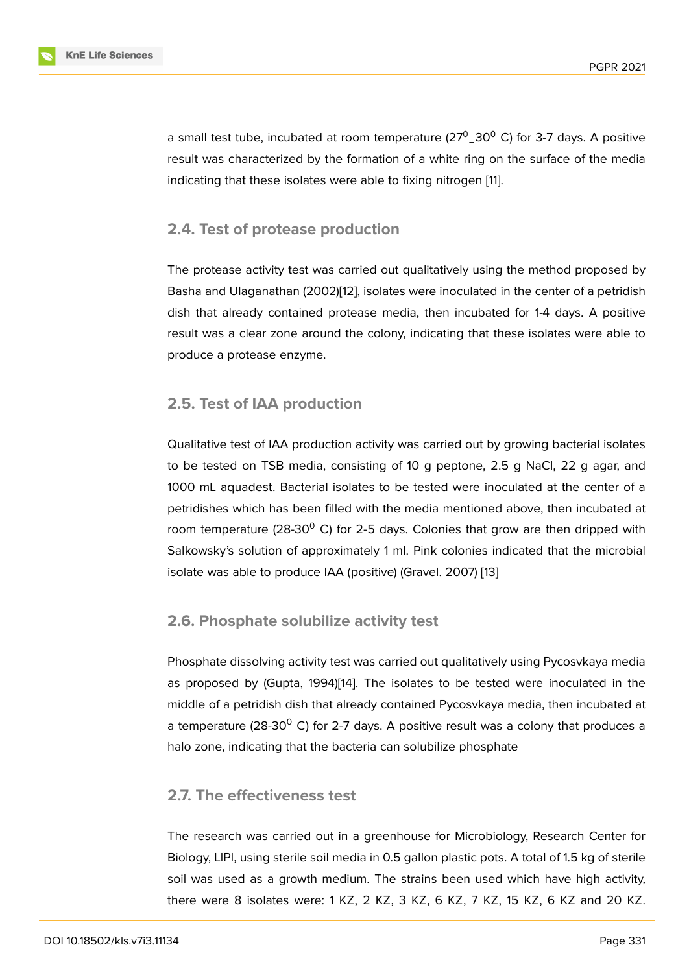a small test tube, incubated at room temperature (27 $^{\rm 0}$ \_30 $^{\rm 0}$  C) for 3-7 days. A positive result was characterized by the formation of a white ring on the surface of the media indicating that these isolates were able to fixing nitrogen [11].

#### **2.4. Test of protease production**

The protease activity test was carried out qualitatively using the method proposed by Basha and Ulaganathan (2002)[12], isolates were inoculated in the center of a petridish dish that already contained protease media, then incubated for 1-4 days. A positive result was a clear zone around the colony, indicating that these isolates were able to produce a protease enzyme.

## **2.5. Test of IAA production**

Qualitative test of IAA production activity was carried out by growing bacterial isolates to be tested on TSB media, consisting of 10 g peptone, 2.5 g NaCl, 22 g agar, and 1000 mL aquadest. Bacterial isolates to be tested were inoculated at the center of a petridishes which has been filled with the media mentioned above, then incubated at room temperature (28-30 $^{\circ}$  C) for 2-5 days. Colonies that grow are then dripped with Salkowsky's solution of approximately 1 ml. Pink colonies indicated that the microbial isolate was able to produce IAA (positive) (Gravel. 2007) [13]

#### **2.6. Phosphate solubilize activity test**

Phosphate dissolving activity test was carried out qualitatively using Pycosvkaya media as proposed by (Gupta, 1994)[14]. The isolates to be tested were inoculated in the middle of a petridish dish that already contained Pycosvkaya media, then incubated at a temperature (28-30 $^{\circ}$  C) for 2-7 days. A positive result was a colony that produces a halo zone, indicating that the b[act](#page-10-1)eria can solubilize phosphate

## **2.7. The effectiveness test**

The research was carried out in a greenhouse for Microbiology, Research Center for Biology, LlPl, using sterile soil media in 0.5 gallon plastic pots. A total of 1.5 kg of sterile soil was used as a growth medium. The strains been used which have high activity, there were 8 isolates were: 1 KZ, 2 KZ, 3 KZ, 6 KZ, 7 KZ, 15 KZ, 6 KZ and 20 KZ.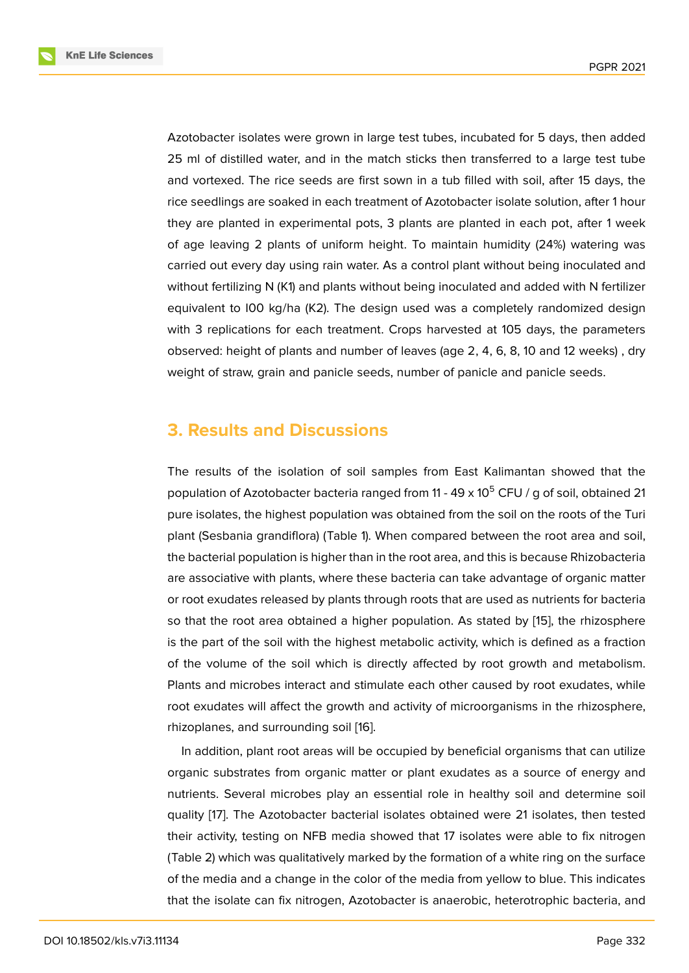Azotobacter isolates were grown in large test tubes, incubated for 5 days, then added 25 ml of distilled water, and in the match sticks then transferred to a large test tube and vortexed. The rice seeds are first sown in a tub filled with soil, after 15 days, the rice seedlings are soaked in each treatment of Azotobacter isolate solution, after 1 hour they are planted in experimental pots, 3 plants are planted in each pot, after 1 week of age leaving 2 plants of uniform height. To maintain humidity (24%) watering was carried out every day using rain water. As a control plant without being inoculated and without fertilizing N (K1) and plants without being inoculated and added with N fertilizer equivalent to I00 kg/ha (K2). The design used was a completely randomized design with 3 replications for each treatment. Crops harvested at 105 days, the parameters observed: height of plants and number of leaves (age 2, 4, 6, 8, 10 and 12 weeks) , dry weight of straw, grain and panicle seeds, number of panicle and panicle seeds.

## **3. Results and Discussions**

The results of the isolation of soil samples from East Kalimantan showed that the population of Azotobacter bacteria ranged from  $11 - 49 \times 10^5$  CFU / g of soil, obtained 21 pure isolates, the highest population was obtained from the soil on the roots of the Turi plant (Sesbania grandiflora) (Table 1). When compared between the root area and soil, the bacterial population is higher than in the root area, and this is because Rhizobacteria are associative with plants, where these bacteria can take advantage of organic matter or root exudates released by plants through roots that are used as nutrients for bacteria so that the root area obtained a higher population. As stated by [15], the rhizosphere is the part of the soil with the highest metabolic activity, which is defined as a fraction of the volume of the soil which is directly affected by root growth and metabolism. Plants and microbes interact and stimulate each other caused by [roo](#page-10-2)t exudates, while root exudates will affect the growth and activity of microorganisms in the rhizosphere, rhizoplanes, and surrounding soil [16].

In addition, plant root areas will be occupied by beneficial organisms that can utilize organic substrates from organic matter or plant exudates as a source of energy and nutrients. Several microbes play [an](#page-10-3) essential role in healthy soil and determine soil quality [17]. The Azotobacter bacterial isolates obtained were 21 isolates, then tested their activity, testing on NFB media showed that 17 isolates were able to fix nitrogen (Table 2) which was qualitatively marked by the formation of a white ring on the surface of the [med](#page-10-4)ia and a change in the color of the media from yellow to blue. This indicates that the isolate can fix nitrogen, Azotobacter is anaerobic, heterotrophic bacteria, and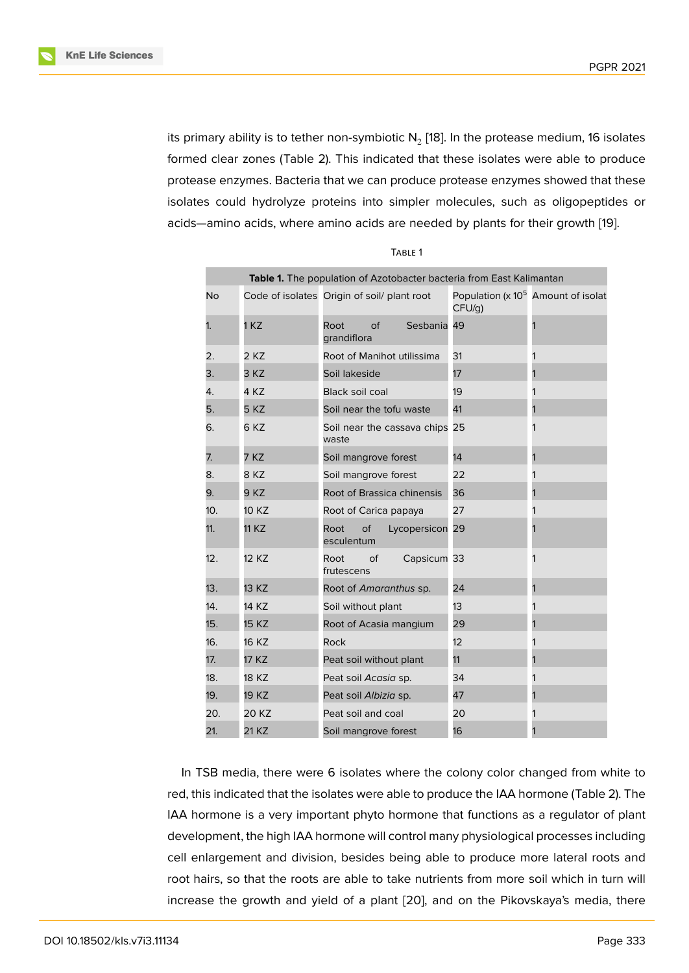its primary ability is to tether non-symbiotic N $_2$  [18]. In the protease medium, 16 isolates formed clear zones (Table 2). This indicated that these isolates were able to produce protease enzymes. Bacteria that we can produce protease enzymes showed that these isolates could hydrolyze proteins into simple[r m](#page-10-5)olecules, such as oligopeptides or acids—amino acids, where amino acids are needed by plants for their growth [19].

| ×<br>۰. |  |
|---------|--|
|---------|--|

| Table 1. The population of Azotobacter bacteria from East Kalimantan |              |                                             |                 |        |                                             |
|----------------------------------------------------------------------|--------------|---------------------------------------------|-----------------|--------|---------------------------------------------|
| No                                                                   |              | Code of isolates Origin of soil/ plant root |                 | CFU/g) | Population ( $\times 10^5$ Amount of isolat |
| 1.                                                                   | 1 KZ         | $\overline{of}$<br>Root<br>grandiflora      | Sesbania        | 49     |                                             |
| 2.                                                                   | 2 KZ         | Root of Manihot utilissima                  |                 | 31     |                                             |
| 3.                                                                   | 3 KZ         | Soil lakeside                               |                 | 17     |                                             |
| 4.                                                                   | 4 KZ         | <b>Black soil coal</b>                      |                 | 19     |                                             |
| 5.                                                                   | 5 KZ         | Soil near the tofu waste                    |                 | 41     |                                             |
| 6.                                                                   | 6KZ          | Soil near the cassava chips 25<br>waste     |                 |        |                                             |
| 7.                                                                   | 7 KZ         | Soil mangrove forest                        |                 | 14     |                                             |
| 8.                                                                   | 8 KZ         | Soil mangrove forest                        |                 | 22     |                                             |
| 9.                                                                   | 9 KZ         | Root of Brassica chinensis                  |                 | 36     |                                             |
| 10.                                                                  | 10 KZ        | Root of Carica papaya                       |                 | 27     |                                             |
| 11.                                                                  | 11 KZ        | Root<br>of<br>esculentum                    | Lycopersicon 29 |        |                                             |
| 12.                                                                  | 12 KZ        | Root<br>of<br>frutescens                    | Capsicum 33     |        |                                             |
| 13.                                                                  | 13 KZ        | Root of Amaranthus sp.                      |                 | 24     |                                             |
| 14.                                                                  | 14 KZ        | Soil without plant                          |                 | 13     |                                             |
| 15.                                                                  | <b>15 KZ</b> | Root of Acasia mangium                      |                 | 29     |                                             |
| 16.                                                                  | 16 KZ        | Rock                                        |                 | 12     |                                             |
| 17.                                                                  | 17 KZ        | Peat soil without plant                     |                 | 11     |                                             |
| 18.                                                                  | 18 KZ        | Peat soil Acasia sp.                        |                 | 34     |                                             |
| 19.                                                                  | 19 KZ        | Peat soil Albizia sp.                       |                 | 47     |                                             |
| 20.                                                                  | 20 KZ        | Peat soil and coal                          |                 | 20     |                                             |
| 21.                                                                  | 21 KZ        | Soil mangrove forest                        |                 | 16     |                                             |

In TSB media, there were 6 isolates where the colony color changed from white to red, this indicated that the isolates were able to produce the IAA hormone (Table 2). The IAA hormone is a very important phyto hormone that functions as a regulator of plant development, the high IAA hormone will control many physiological processes including cell enlargement and division, besides being able to produce more lateral roots and root hairs, so that the roots are able to take nutrients from more soil which in turn will increase the growth and yield of a plant [20], and on the Pikovskaya's media, there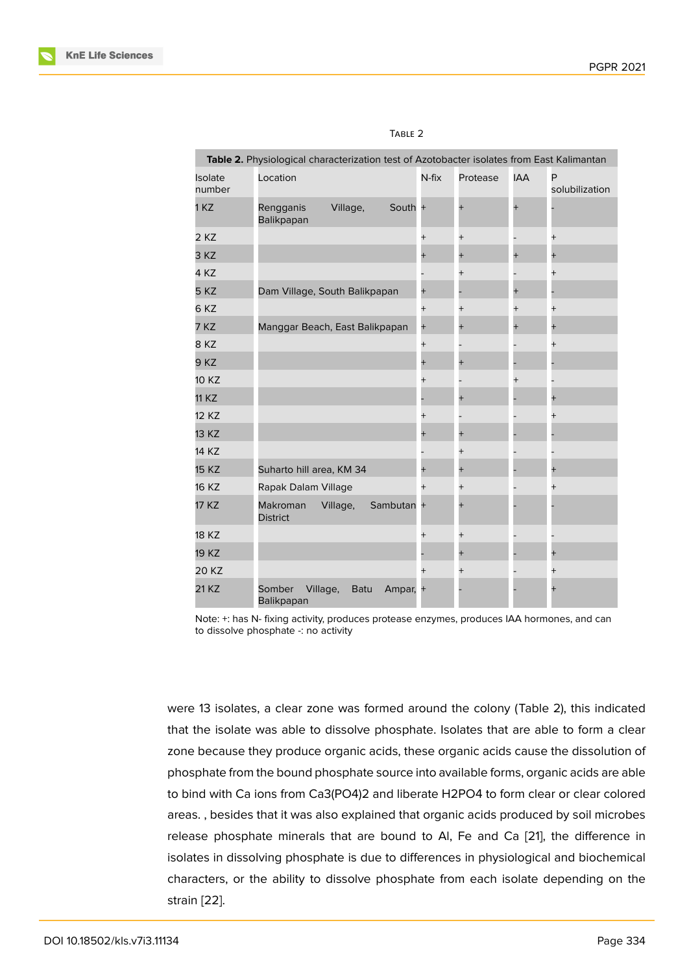|                   | Table 2. Physiological characterization test of Azotobacter isolates from East Kalimantan |                         |          |                  |                  |                |                     |
|-------------------|-------------------------------------------------------------------------------------------|-------------------------|----------|------------------|------------------|----------------|---------------------|
| Isolate<br>number | Location                                                                                  |                         |          | $N$ -fi $\times$ | Protease         | <b>IAA</b>     | P<br>solubilization |
| 1 KZ              | Rengganis<br>Balikpapan                                                                   | Village,                | South +  |                  | $\overline{+}$   |                |                     |
| 2 KZ              |                                                                                           |                         |          | $^{+}$           | $^{+}$           |                | $^{+}$              |
| 3 KZ              |                                                                                           |                         |          | $\overline{+}$   | $\ddot{}$        | $\overline{+}$ | $\overline{+}$      |
| 4 KZ              |                                                                                           |                         |          |                  | $^{+}$           |                | $^{+}$              |
| 5 KZ              | Dam Village, South Balikpapan                                                             |                         |          | $\overline{+}$   |                  | $\overline{+}$ |                     |
| 6KZ               |                                                                                           |                         |          | $^{+}$           | $^{+}$           | $\overline{+}$ | $^{+}$              |
| 7 KZ              | Manggar Beach, East Balikpapan                                                            |                         |          | $^{+}$           | $\ddot{}$        | $\overline{+}$ | $\overline{+}$      |
| 8KZ               |                                                                                           |                         |          | $\overline{+}$   |                  |                | $^{+}$              |
| 9 KZ              |                                                                                           |                         |          | $\overline{+}$   | $\overline{+}$   |                |                     |
| 10 KZ             |                                                                                           |                         |          | $^{+}$           |                  | $^{+}$         |                     |
| <b>11 KZ</b>      |                                                                                           |                         |          |                  |                  |                | $\overline{+}$      |
| 12 KZ             |                                                                                           |                         |          | $^+$             |                  |                | $^{+}$              |
| 13 KZ             |                                                                                           |                         |          | $^{+}$           | $\boldsymbol{+}$ |                |                     |
| 14 KZ             |                                                                                           |                         |          |                  |                  |                |                     |
| <b>15 KZ</b>      | Suharto hill area, KM 34                                                                  |                         |          | $\overline{+}$   |                  |                | $\hbox{+}$          |
| 16 KZ             | Rapak Dalam Village                                                                       |                         |          | $\overline{+}$   | $\ddot{}$        |                |                     |
| 17 KZ             | Makroman<br><b>District</b>                                                               | Village,                | Sambutan | $+$              |                  |                |                     |
| <b>18 KZ</b>      |                                                                                           |                         |          | $^{+}$           | $\ddot{}$        |                |                     |
| 19 KZ             |                                                                                           |                         |          |                  | $\overline{+}$   |                | $^{+}$              |
| 20 KZ             |                                                                                           |                         |          | $\overline{+}$   | $^{+}$           |                | $^{+}$              |
| 21 KZ             | Somber<br><b>Balikpapan</b>                                                               | Village,<br><b>Batu</b> | Ampar, + |                  |                  |                |                     |

| ×<br>۰. |  |
|---------|--|
|         |  |

Note: +: has N- fixing activity, produces protease enzymes, produces IAA hormones, and can to dissolve phosphate -: no activity

were 13 isolates, a clear zone was formed around the colony (Table 2), this indicated that the isolate was able to dissolve phosphate. Isolates that are able to form a clear zone because they produce organic acids, these organic acids cause the dissolution of phosphate from the bound phosphate source into available forms, organic acids are able to bind with Ca ions from Ca3(PO4)2 and liberate H2PO4 to form clear or clear colored areas. , besides that it was also explained that organic acids produced by soil microbes release phosphate minerals that are bound to Al, Fe and Ca [21], the difference in isolates in dissolving phosphate is due to differences in physiological and biochemical characters, or the ability to dissolve phosphate from each isolate depending on the strain [22].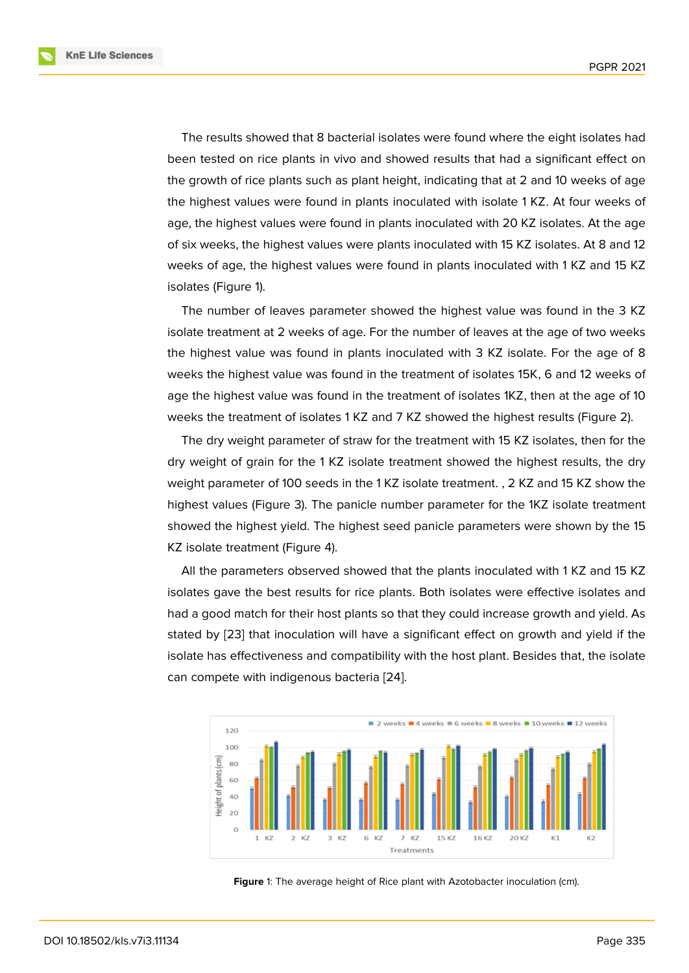The results showed that 8 bacterial isolates were found where the eight isolates had been tested on rice plants in vivo and showed results that had a significant effect on the growth of rice plants such as plant height, indicating that at 2 and 10 weeks of age the highest values were found in plants inoculated with isolate 1 KZ. At four weeks of age, the highest values were found in plants inoculated with 20 KZ isolates. At the age of six weeks, the highest values were plants inoculated with 15 KZ isolates. At 8 and 12 weeks of age, the highest values were found in plants inoculated with 1 KZ and 15 KZ isolates (Figure 1).

The number of leaves parameter showed the highest value was found in the 3 KZ isolate treatment at 2 weeks of age. For the number of leaves at the age of two weeks the highest val[ue](#page-7-0) was found in plants inoculated with 3 KZ isolate. For the age of 8 weeks the highest value was found in the treatment of isolates 15K, 6 and 12 weeks of age the highest value was found in the treatment of isolates 1KZ, then at the age of 10 weeks the treatment of isolates 1 KZ and 7 KZ showed the highest results (Figure 2).

The dry weight parameter of straw for the treatment with 15 KZ isolates, then for the dry weight of grain for the 1 KZ isolate treatment showed the highest results, the dry weight parameter of 100 seeds in the 1 KZ isolate treatment. , 2 KZ and 15 KZ sho[w t](#page-8-0)he highest values (Figure 3). The panicle number parameter for the 1KZ isolate treatment showed the highest yield. The highest seed panicle parameters were shown by the 15 KZ isolate treatment (Figure 4).

All the parameters [ob](#page-8-1)served showed that the plants inoculated with 1 KZ and 15 KZ isolates gave the best results for rice plants. Both isolates were effective isolates and had a good match for their h[os](#page-8-2)t plants so that they could increase growth and yield. As stated by [23] that inoculation will have a significant effect on growth and yield if the isolate has effectiveness and compatibility with the host plant. Besides that, the isolate can compete with indigenous bacteria [24].



<span id="page-7-0"></span>Figure 1: The average height of Rice plant with Azotobacter inoculation (cm).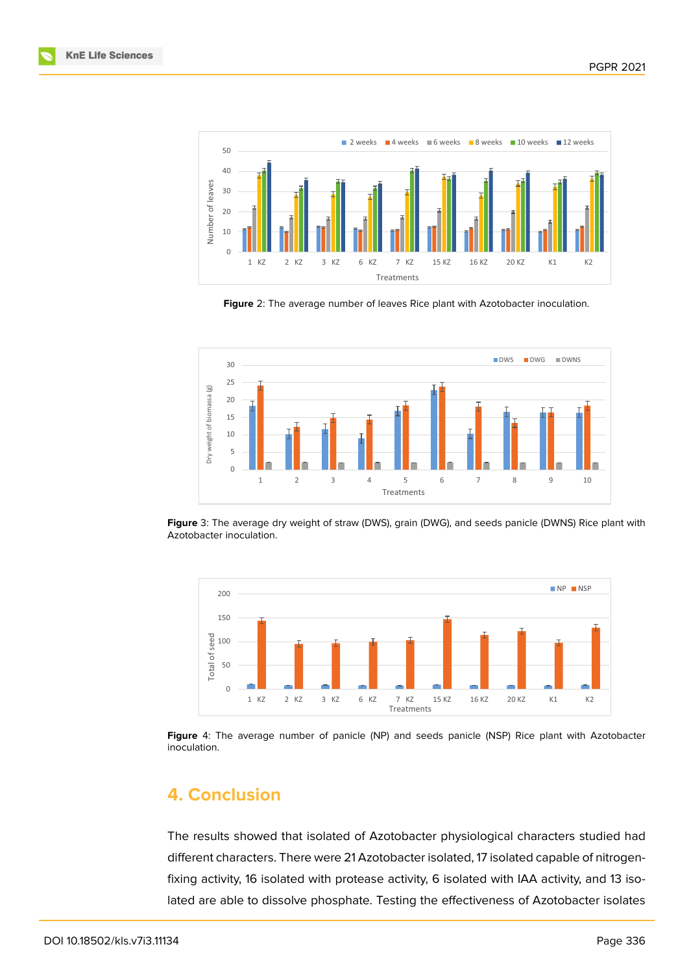



<span id="page-8-0"></span>**Figure** 2: The average number of leaves Rice plant with Azotobacter inoculation.



<span id="page-8-1"></span>**Figure** 3: The average dry weight of straw (DWS), grain (DWG), and seeds panicle (DWNS) Rice plant with Azotobacter inoculation.



<span id="page-8-2"></span>**Figure** 4: The average number of panicle (NP) and seeds panicle (NSP) Rice plant with Azotobacter inoculation.

# **4. Conclusion**

The results showed that isolated of Azotobacter physiological characters studied had different characters. There were 21 Azotobacter isolated, 17 isolated capable of nitrogenfixing activity, 16 isolated with protease activity, 6 isolated with IAA activity, and 13 isolated are able to dissolve phosphate. Testing the effectiveness of Azotobacter isolates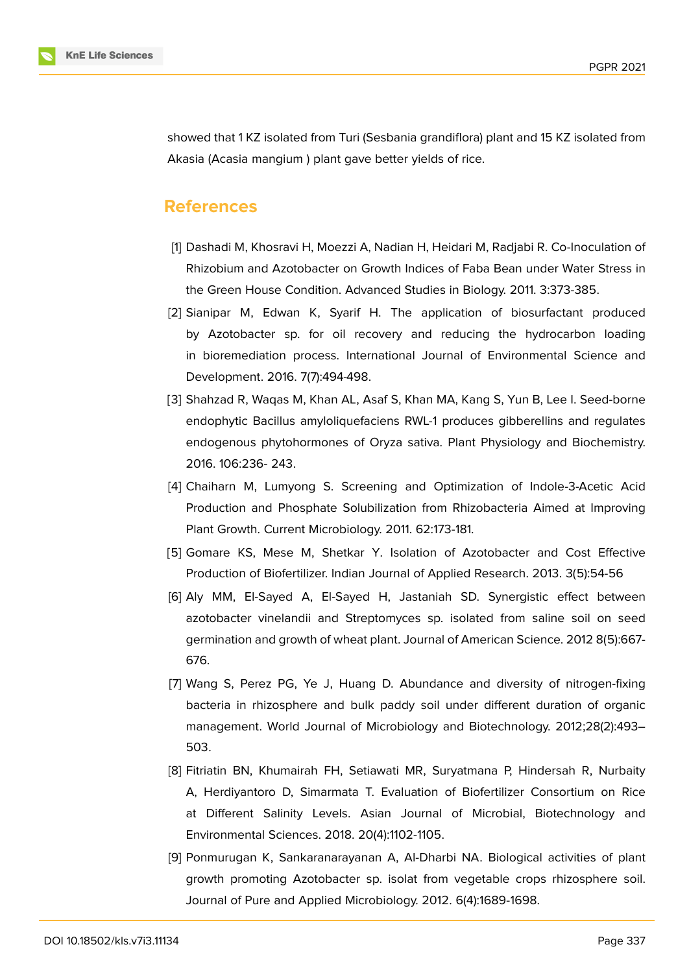

showed that 1 KZ isolated from Turi (Sesbania grandiflora) plant and 15 KZ isolated from Akasia (Acasia mangium ) plant gave better yields of rice.

## **References**

- <span id="page-9-0"></span>[1] Dashadi M, Khosravi H, Moezzi A, Nadian H, Heidari M, Radjabi R. Co-Inoculation of Rhizobium and Azotobacter on Growth Indices of Faba Bean under Water Stress in the Green House Condition. Advanced Studies in Biology. 2011. 3:373-385.
- <span id="page-9-1"></span>[2] Sianipar M, Edwan K, Syarif H. The application of biosurfactant produced by Azotobacter sp. for oil recovery and reducing the hydrocarbon loading in bioremediation process. International Journal of Environmental Science and Development. 2016. 7(7):494-498.
- <span id="page-9-2"></span>[3] Shahzad R, Waqas M, Khan AL, Asaf S, Khan MA, Kang S, Yun B, Lee I. Seed-borne endophytic Bacillus amyloliquefaciens RWL-1 produces gibberellins and regulates endogenous phytohormones of Oryza sativa. Plant Physiology and Biochemistry. 2016. 106:236- 243.
- <span id="page-9-3"></span>[4] Chaiharn M, Lumyong S. Screening and Optimization of Indole-3-Acetic Acid Production and Phosphate Solubilization from Rhizobacteria Aimed at Improving Plant Growth. Current Microbiology. 2011. 62:173-181.
- <span id="page-9-4"></span>[5] Gomare KS, Mese M, Shetkar Y. Isolation of Azotobacter and Cost Effective Production of Biofertilizer. Indian Journal of Applied Research. 2013. 3(5):54-56
- <span id="page-9-5"></span>[6] Aly MM, El-Sayed A, El-Sayed H, Jastaniah SD. Synergistic effect between azotobacter vinelandii and Streptomyces sp. isolated from saline soil on seed germination and growth of wheat plant. Journal of American Science. 2012 8(5):667- 676.
- <span id="page-9-6"></span>[7] Wang S, Perez PG, Ye J, Huang D. Abundance and diversity of nitrogen-fixing bacteria in rhizosphere and bulk paddy soil under different duration of organic management. World Journal of Microbiology and Biotechnology. 2012;28(2):493– 503.
- <span id="page-9-7"></span>[8] Fitriatin BN, Khumairah FH, Setiawati MR, Suryatmana P, Hindersah R, Nurbaity A, Herdiyantoro D, Simarmata T. Evaluation of Biofertilizer Consortium on Rice at Different Salinity Levels. Asian Journal of Microbial, Biotechnology and Environmental Sciences. 2018. 20(4):1102-1105.
- <span id="page-9-8"></span>[9] Ponmurugan K, Sankaranarayanan A, Al-Dharbi NA. Biological activities of plant growth promoting Azotobacter sp. isolat from vegetable crops rhizosphere soil. Journal of Pure and Applied Microbiology. 2012. 6(4):1689-1698.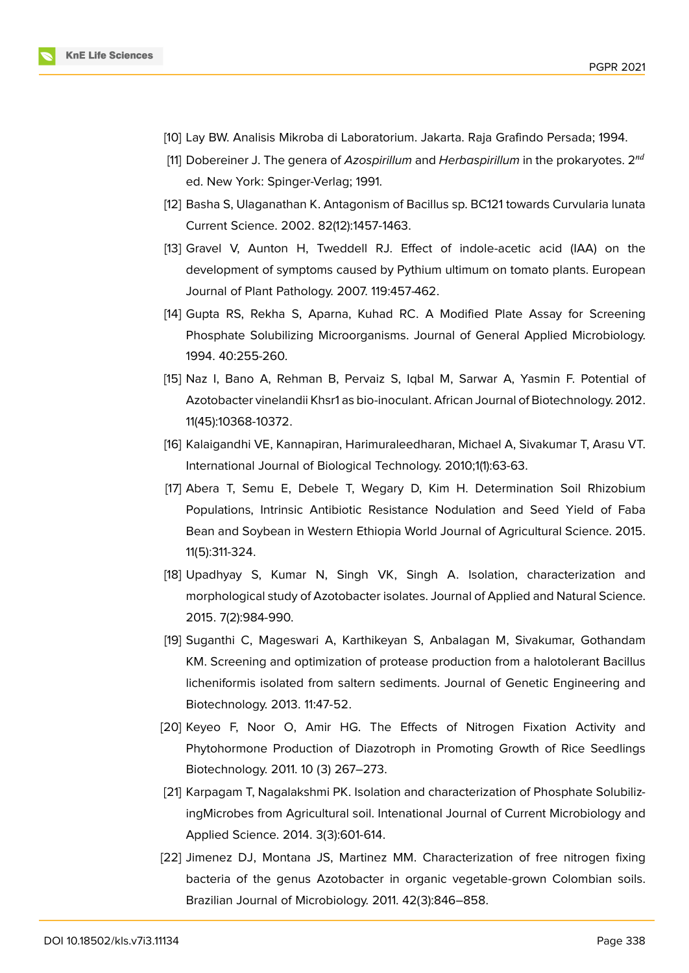

- <span id="page-10-0"></span>[10] Lay BW. Analisis Mikroba di Laboratorium. Jakarta. Raja Grafindo Persada; 1994.
- [11] Dobereiner J. The genera of *Azospirillum* and *Herbaspirillum* in the prokaryotes. 2 ed. New York: Spinger-Verlag; 1991.
- [12] Basha S, Ulaganathan K. Antagonism of Bacillus sp. BC121 towards Curvularia lunata Current Science. 2002. 82(12):1457-1463.
- [13] Gravel V, Aunton H, Tweddell RJ. Effect of indole-acetic acid (IAA) on the development of symptoms caused by Pythium ultimum on tomato plants. European Journal of Plant Pathology. 2007. 119:457-462.
- <span id="page-10-1"></span>[14] Gupta RS, Rekha S, Aparna, Kuhad RC. A Modified Plate Assay for Screening Phosphate Solubilizing Microorganisms. Journal of General Applied Microbiology. 1994. 40:255-260.
- <span id="page-10-2"></span>[15] Naz I, Bano A, Rehman B, Pervaiz S, Iqbal M, Sarwar A, Yasmin F. Potential of Azotobacter vinelandii Khsr1 as bio-inoculant. African Journal of Biotechnology. 2012. 11(45):10368-10372.
- <span id="page-10-3"></span>[16] Kalaigandhi VE, Kannapiran, Harimuraleedharan, Michael A, Sivakumar T, Arasu VT. International Journal of Biological Technology. 2010;1(1):63-63.
- <span id="page-10-4"></span>[17] Abera T, Semu E, Debele T, Wegary D, Kim H. Determination Soil Rhizobium Populations, Intrinsic Antibiotic Resistance Nodulation and Seed Yield of Faba Bean and Soybean in Western Ethiopia World Journal of Agricultural Science. 2015. 11(5):311-324.
- <span id="page-10-5"></span>[18] Upadhyay S, Kumar N, Singh VK, Singh A. Isolation, characterization and morphological study of Azotobacter isolates. Journal of Applied and Natural Science. 2015. 7(2):984-990.
- [19] Suganthi C, Mageswari A, Karthikeyan S, Anbalagan M, Sivakumar, Gothandam KM. Screening and optimization of protease production from a halotolerant Bacillus licheniformis isolated from saltern sediments. Journal of Genetic Engineering and Biotechnology. 2013. 11:47-52.
- [20] Keyeo F, Noor O, Amir HG. The Effects of Nitrogen Fixation Activity and Phytohormone Production of Diazotroph in Promoting Growth of Rice Seedlings Biotechnology. 2011. 10 (3) 267–273.
- [21] Karpagam T, Nagalakshmi PK. Isolation and characterization of Phosphate SolubilizingMicrobes from Agricultural soil. Intenational Journal of Current Microbiology and Applied Science. 2014. 3(3):601-614.
- [22] Jimenez DJ, Montana JS, Martinez MM. Characterization of free nitrogen fixing bacteria of the genus Azotobacter in organic vegetable-grown Colombian soils. Brazilian Journal of Microbiology. 2011. 42(3):846–858.